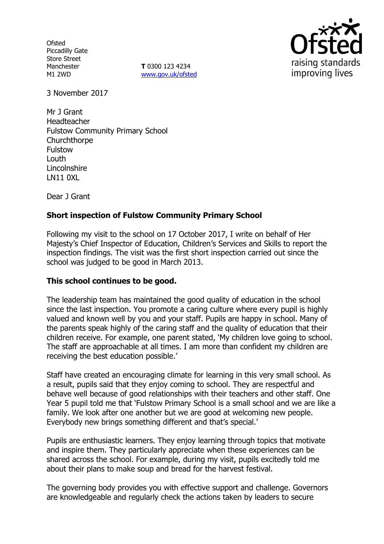**Ofsted** Piccadilly Gate Store Street Manchester M1 2WD

**T** 0300 123 4234 www.gov.uk/ofsted



3 November 2017

Mr J Grant Headteacher Fulstow Community Primary School Churchthorpe Fulstow Louth **Lincolnshire** LN11 0XL

Dear J Grant

## **Short inspection of Fulstow Community Primary School**

Following my visit to the school on 17 October 2017, I write on behalf of Her Majesty's Chief Inspector of Education, Children's Services and Skills to report the inspection findings. The visit was the first short inspection carried out since the school was judged to be good in March 2013.

### **This school continues to be good.**

The leadership team has maintained the good quality of education in the school since the last inspection. You promote a caring culture where every pupil is highly valued and known well by you and your staff. Pupils are happy in school. Many of the parents speak highly of the caring staff and the quality of education that their children receive. For example, one parent stated, 'My children love going to school. The staff are approachable at all times. I am more than confident my children are receiving the best education possible.'

Staff have created an encouraging climate for learning in this very small school. As a result, pupils said that they enjoy coming to school. They are respectful and behave well because of good relationships with their teachers and other staff. One Year 5 pupil told me that 'Fulstow Primary School is a small school and we are like a family. We look after one another but we are good at welcoming new people. Everybody new brings something different and that's special.'

Pupils are enthusiastic learners. They enjoy learning through topics that motivate and inspire them. They particularly appreciate when these experiences can be shared across the school. For example, during my visit, pupils excitedly told me about their plans to make soup and bread for the harvest festival.

The governing body provides you with effective support and challenge. Governors are knowledgeable and regularly check the actions taken by leaders to secure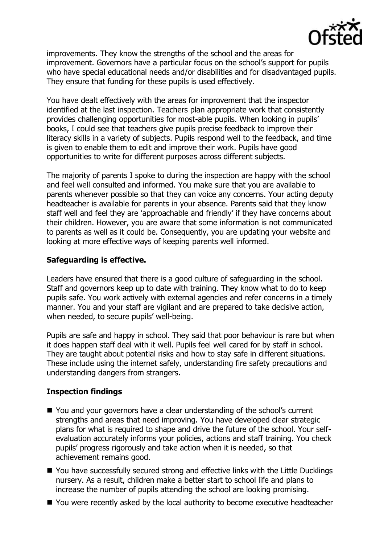

improvements. They know the strengths of the school and the areas for improvement. Governors have a particular focus on the school's support for pupils who have special educational needs and/or disabilities and for disadvantaged pupils. They ensure that funding for these pupils is used effectively.

You have dealt effectively with the areas for improvement that the inspector identified at the last inspection. Teachers plan appropriate work that consistently provides challenging opportunities for most-able pupils. When looking in pupils' books, I could see that teachers give pupils precise feedback to improve their literacy skills in a variety of subjects. Pupils respond well to the feedback, and time is given to enable them to edit and improve their work. Pupils have good opportunities to write for different purposes across different subjects.

The majority of parents I spoke to during the inspection are happy with the school and feel well consulted and informed. You make sure that you are available to parents whenever possible so that they can voice any concerns. Your acting deputy headteacher is available for parents in your absence. Parents said that they know staff well and feel they are 'approachable and friendly' if they have concerns about their children. However, you are aware that some information is not communicated to parents as well as it could be. Consequently, you are updating your website and looking at more effective ways of keeping parents well informed.

### **Safeguarding is effective.**

Leaders have ensured that there is a good culture of safeguarding in the school. Staff and governors keep up to date with training. They know what to do to keep pupils safe. You work actively with external agencies and refer concerns in a timely manner. You and your staff are vigilant and are prepared to take decisive action, when needed, to secure pupils' well-being.

Pupils are safe and happy in school. They said that poor behaviour is rare but when it does happen staff deal with it well. Pupils feel well cared for by staff in school. They are taught about potential risks and how to stay safe in different situations. These include using the internet safely, understanding fire safety precautions and understanding dangers from strangers.

### **Inspection findings**

- You and your governors have a clear understanding of the school's current strengths and areas that need improving. You have developed clear strategic plans for what is required to shape and drive the future of the school. Your selfevaluation accurately informs your policies, actions and staff training. You check pupils' progress rigorously and take action when it is needed, so that achievement remains good.
- You have successfully secured strong and effective links with the Little Ducklings nursery. As a result, children make a better start to school life and plans to increase the number of pupils attending the school are looking promising.
- You were recently asked by the local authority to become executive headteacher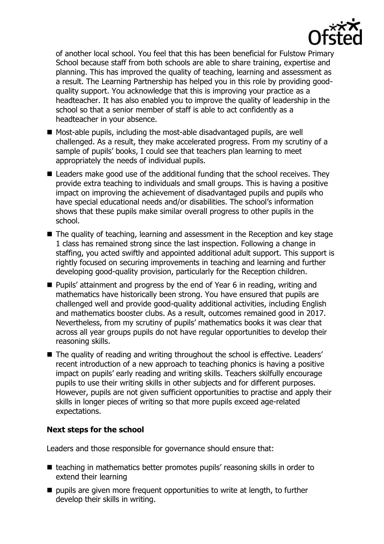

of another local school. You feel that this has been beneficial for Fulstow Primary School because staff from both schools are able to share training, expertise and planning. This has improved the quality of teaching, learning and assessment as a result. The Learning Partnership has helped you in this role by providing goodquality support. You acknowledge that this is improving your practice as a headteacher. It has also enabled you to improve the quality of leadership in the school so that a senior member of staff is able to act confidently as a headteacher in your absence.

- Most-able pupils, including the most-able disadvantaged pupils, are well challenged. As a result, they make accelerated progress. From my scrutiny of a sample of pupils' books, I could see that teachers plan learning to meet appropriately the needs of individual pupils.
- Leaders make good use of the additional funding that the school receives. They provide extra teaching to individuals and small groups. This is having a positive impact on improving the achievement of disadvantaged pupils and pupils who have special educational needs and/or disabilities. The school's information shows that these pupils make similar overall progress to other pupils in the school.
- The quality of teaching, learning and assessment in the Reception and key stage 1 class has remained strong since the last inspection. Following a change in staffing, you acted swiftly and appointed additional adult support. This support is rightly focused on securing improvements in teaching and learning and further developing good-quality provision, particularly for the Reception children.
- Pupils' attainment and progress by the end of Year 6 in reading, writing and mathematics have historically been strong. You have ensured that pupils are challenged well and provide good-quality additional activities, including English and mathematics booster clubs. As a result, outcomes remained good in 2017. Nevertheless, from my scrutiny of pupils' mathematics books it was clear that across all year groups pupils do not have regular opportunities to develop their reasoning skills.
- The quality of reading and writing throughout the school is effective. Leaders' recent introduction of a new approach to teaching phonics is having a positive impact on pupils' early reading and writing skills. Teachers skilfully encourage pupils to use their writing skills in other subjects and for different purposes. However, pupils are not given sufficient opportunities to practise and apply their skills in longer pieces of writing so that more pupils exceed age-related expectations.

# **Next steps for the school**

Leaders and those responsible for governance should ensure that:

- teaching in mathematics better promotes pupils' reasoning skills in order to extend their learning
- $\blacksquare$  pupils are given more frequent opportunities to write at length, to further develop their skills in writing.